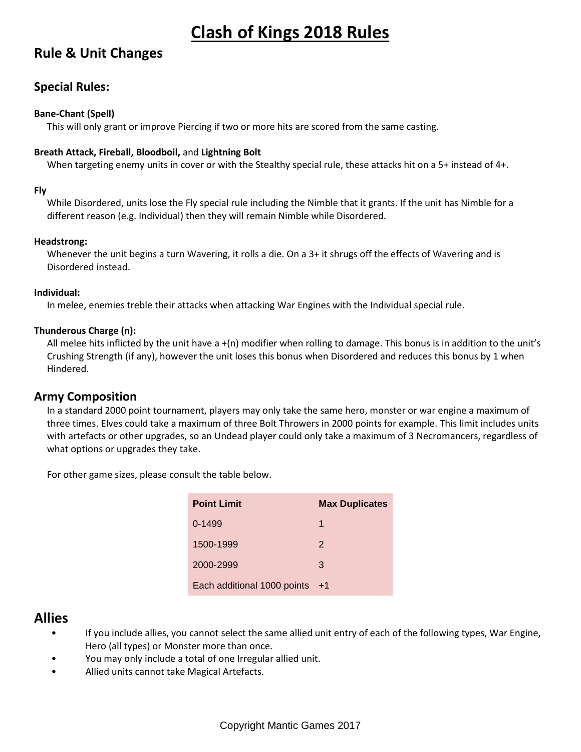# **Rule & Unit Changes**

# **Special Rules:**

#### **Bane-Chant (Spell)**

This will only grant or improve Piercing if two or more hits are scored from the same casting.

#### **Breath Attack, Fireball, Bloodboil,** and **Lightning Bolt**

When targeting enemy units in cover or with the Stealthy special rule, these attacks hit on a 5+ instead of 4+.

#### **Fly**

While Disordered, units lose the Fly special rule including the Nimble that it grants. If the unit has Nimble for a different reason (e.g. Individual) then they will remain Nimble while Disordered.

#### **Headstrong:**

Whenever the unit begins a turn Wavering, it rolls a die. On a 3+ it shrugs off the effects of Wavering and is Disordered instead.

#### **Individual:**

In melee, enemies treble their attacks when attacking War Engines with the Individual special rule.

#### **Thunderous Charge (n):**

All melee hits inflicted by the unit have  $a + (n)$  modifier when rolling to damage. This bonus is in addition to the unit's Crushing Strength (if any), however the unit loses this bonus when Disordered and reduces this bonus by 1 when Hindered.

#### **Army Composition**

In a standard 2000 point tournament, players may only take the same hero, monster or war engine a maximum of three times. Elves could take a maximum of three Bolt Throwers in 2000 points for example. This limit includes units with artefacts or other upgrades, so an Undead player could only take a maximum of 3 Necromancers, regardless of what options or upgrades they take.

For other game sizes, please consult the table below.

| <b>Point Limit</b>          | <b>Max Duplicates</b> |
|-----------------------------|-----------------------|
| $0-1499$                    | 1                     |
| 1500-1999                   | $\mathcal{P}$         |
| 2000-2999                   | 3                     |
| Each additional 1000 points | $+1$                  |

# **Allies**

- If you include allies, you cannot select the same allied unit entry of each of the following types, War Engine, Hero (all types) or Monster more than once.
- You may only include a total of one Irregular allied unit.
- Allied units cannot take Magical Artefacts.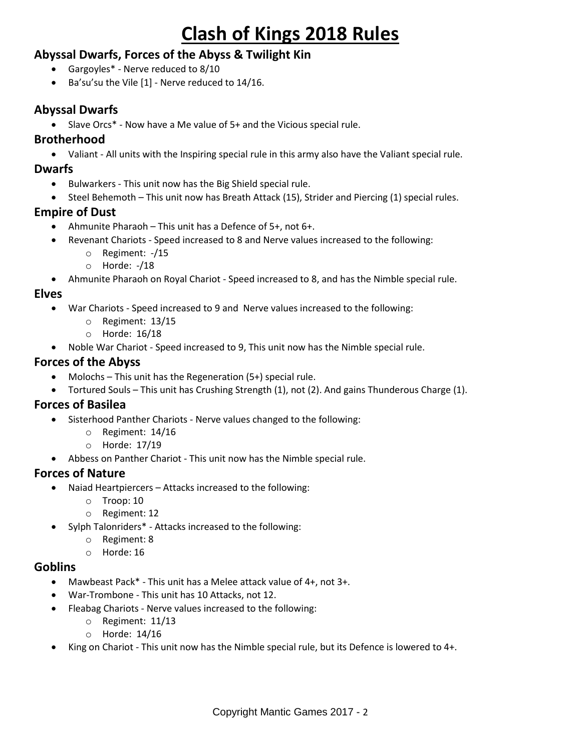# **Abyssal Dwarfs, Forces of the Abyss & Twilight Kin**

- Gargoyles\* Nerve reduced to 8/10
- Ba'su'su the Vile [1] Nerve reduced to 14/16.

# **Abyssal Dwarfs**

• Slave Orcs\* - Now have a Me value of 5+ and the Vicious special rule.

#### **Brotherhood**

Valiant - All units with the Inspiring special rule in this army also have the Valiant special rule.

#### **Dwarfs**

- Bulwarkers This unit now has the Big Shield special rule.
- Steel Behemoth This unit now has Breath Attack (15), Strider and Piercing (1) special rules.

## **Empire of Dust**

- Ahmunite Pharaoh This unit has a Defence of 5+, not 6+.
- Revenant Chariots Speed increased to 8 and Nerve values increased to the following:
	- o Regiment: -/15
	- o Horde: -/18
- Ahmunite Pharaoh on Royal Chariot Speed increased to 8, and has the Nimble special rule.

### **Elves**

- War Chariots Speed increased to 9 and Nerve values increased to the following:
	- o Regiment: 13/15
	- o Horde: 16/18
- Noble War Chariot Speed increased to 9, This unit now has the Nimble special rule.

### **Forces of the Abyss**

- Molochs This unit has the Regeneration (5+) special rule.
- Tortured Souls This unit has Crushing Strength (1), not (2). And gains Thunderous Charge (1).

#### **Forces of Basilea**

- Sisterhood Panther Chariots Nerve values changed to the following:
	- o Regiment: 14/16
	- o Horde: 17/19
- Abbess on Panther Chariot This unit now has the Nimble special rule.

## **Forces of Nature**

- Naiad Heartpiercers Attacks increased to the following:
	- o Troop: 10
	- o Regiment: 12
- Sylph Talonriders\* Attacks increased to the following:
	- o Regiment: 8
	- o Horde: 16

#### **Goblins**

- Mawbeast Pack\* This unit has a Melee attack value of 4+, not 3+.
- War-Trombone This unit has 10 Attacks, not 12.
- Fleabag Chariots Nerve values increased to the following:
	- o Regiment: 11/13
	- o Horde: 14/16
- King on Chariot This unit now has the Nimble special rule, but its Defence is lowered to 4+.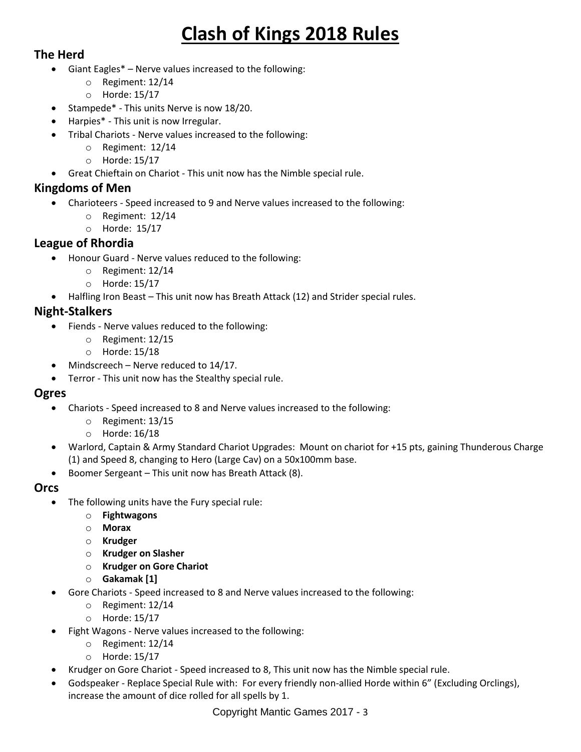# **The Herd**

- Giant Eagles\* Nerve values increased to the following:
	- o Regiment: 12/14
	- o Horde: 15/17
- Stampede\* This units Nerve is now 18/20.
	- Harpies\* This unit is now Irregular.
- Tribal Chariots Nerve values increased to the following:
	- o Regiment: 12/14
	- o Horde: 15/17
- Great Chieftain on Chariot This unit now has the Nimble special rule.

# **Kingdoms of Men**

- Charioteers Speed increased to 9 and Nerve values increased to the following:
	- o Regiment: 12/14
	- o Horde: 15/17

# **League of Rhordia**

- Honour Guard Nerve values reduced to the following:
	- o Regiment: 12/14
	- o Horde: 15/17
- Halfling Iron Beast This unit now has Breath Attack (12) and Strider special rules.

# **Night-Stalkers**

- Fiends Nerve values reduced to the following:
	- o Regiment: 12/15
	- o Horde: 15/18
- Mindscreech Nerve reduced to 14/17.
- Terror This unit now has the Stealthy special rule.

## **Ogres**

- Chariots Speed increased to 8 and Nerve values increased to the following:
	- o Regiment: 13/15
	- o Horde: 16/18
- Warlord, Captain & Army Standard Chariot Upgrades: Mount on chariot for +15 pts, gaining Thunderous Charge (1) and Speed 8, changing to Hero (Large Cav) on a 50x100mm base.
- Boomer Sergeant This unit now has Breath Attack (8).

## **Orcs**

- The following units have the Fury special rule:
	- o **Fightwagons**
	- o **Morax**
	- o **Krudger**
	- o **Krudger on Slasher**
	- o **Krudger on Gore Chariot**
	- o **Gakamak [1]**
	- Gore Chariots Speed increased to 8 and Nerve values increased to the following:
		- o Regiment: 12/14
		- o Horde: 15/17
- Fight Wagons Nerve values increased to the following:
	- o Regiment: 12/14
	- o Horde: 15/17
- Krudger on Gore Chariot Speed increased to 8, This unit now has the Nimble special rule.
- Godspeaker Replace Special Rule with: For every friendly non-allied Horde within 6" (Excluding Orclings), increase the amount of dice rolled for all spells by 1.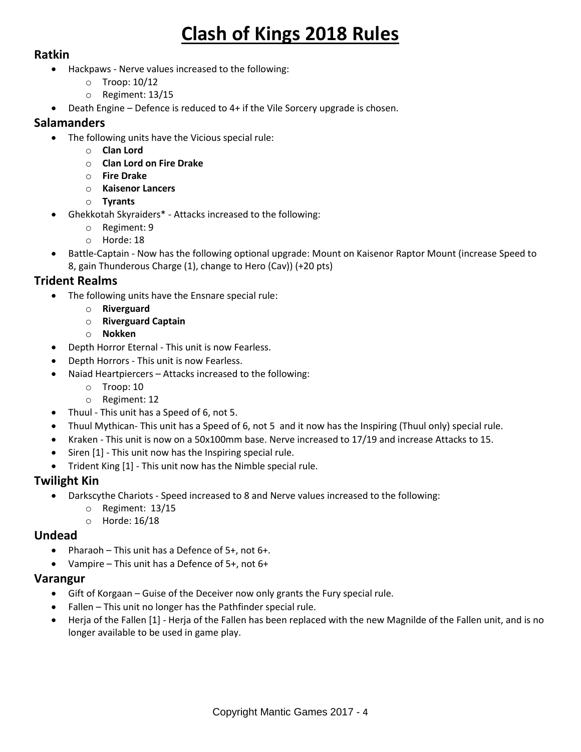### **Ratkin**

- Hackpaws Nerve values increased to the following:
	- o Troop: 10/12
	- o Regiment: 13/15
- Death Engine Defence is reduced to 4+ if the Vile Sorcery upgrade is chosen.

#### **Salamanders**

- The following units have the Vicious special rule:
	- o **Clan Lord**
		- o **Clan Lord on Fire Drake**
		- o **Fire Drake**
		- o **Kaisenor Lancers**
	- o **Tyrants**
- Ghekkotah Skyraiders\* Attacks increased to the following:
	- o Regiment: 9
	- o Horde: 18
- Battle-Captain Now has the following optional upgrade: Mount on Kaisenor Raptor Mount (increase Speed to 8, gain Thunderous Charge (1), change to Hero (Cav)) (+20 pts)

## **Trident Realms**

- The following units have the Ensnare special rule:
	- o **Riverguard**
		- o **Riverguard Captain**
		- o **Nokken**
- Depth Horror Eternal This unit is now Fearless.
- Depth Horrors This unit is now Fearless.
- Naiad Heartpiercers Attacks increased to the following:
	- o Troop: 10
		- o Regiment: 12
- Thuul This unit has a Speed of 6, not 5.
- Thuul Mythican- This unit has a Speed of 6, not 5 and it now has the Inspiring (Thuul only) special rule.
- Kraken This unit is now on a 50x100mm base. Nerve increased to 17/19 and increase Attacks to 15.
- Siren [1] This unit now has the Inspiring special rule.
- Trident King [1] This unit now has the Nimble special rule.

#### **Twilight Kin**

- Darkscythe Chariots Speed increased to 8 and Nerve values increased to the following:
	- o Regiment: 13/15
	- o Horde: 16/18

#### **Undead**

- Pharaoh This unit has a Defence of  $5+$ , not  $6+$ .
- Vampire This unit has a Defence of 5+, not 6+

#### **Varangur**

- Gift of Korgaan Guise of the Deceiver now only grants the Fury special rule.
- Fallen This unit no longer has the Pathfinder special rule.
- Herja of the Fallen [1] Herja of the Fallen has been replaced with the new Magnilde of the Fallen unit, and is no longer available to be used in game play.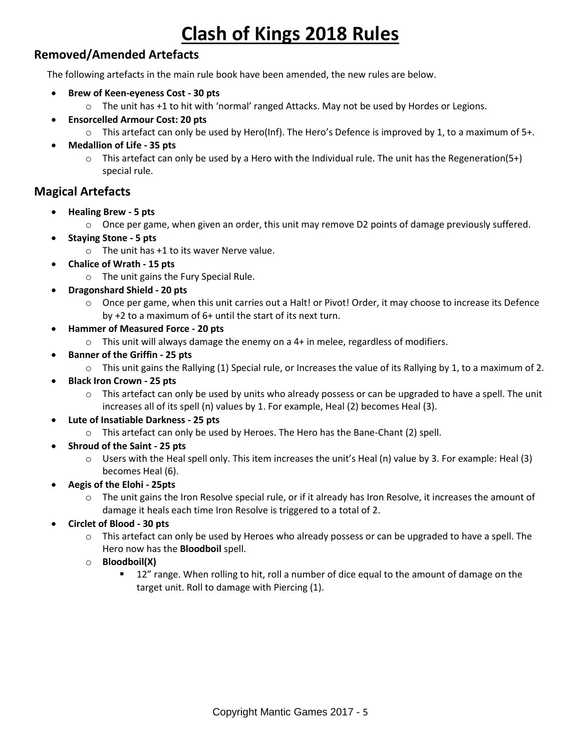# **Removed/Amended Artefacts**

The following artefacts in the main rule book have been amended, the new rules are below.

- **Brew of Keen-eyeness Cost - 30 pts**
	- $\circ$  The unit has +1 to hit with 'normal' ranged Attacks. May not be used by Hordes or Legions.
	- **Ensorcelled Armour Cost: 20 pts**
		- $\circ$  This artefact can only be used by Hero(Inf). The Hero's Defence is improved by 1, to a maximum of 5+.
- **Medallion of Life - 35 pts**
	- $\circ$  This artefact can only be used by a Hero with the Individual rule. The unit has the Regeneration(5+) special rule.

## **Magical Artefacts**

- **Healing Brew - 5 pts**
	- $\circ$  Once per game, when given an order, this unit may remove D2 points of damage previously suffered.
- **Staying Stone - 5 pts**
	- o The unit has +1 to its waver Nerve value.
- **Chalice of Wrath - 15 pts**
	- o The unit gains the Fury Special Rule.
- **Dragonshard Shield - 20 pts**
	- o Once per game, when this unit carries out a Halt! or Pivot! Order, it may choose to increase its Defence by +2 to a maximum of 6+ until the start of its next turn.
- **Hammer of Measured Force - 20 pts**
	- $\circ$  This unit will always damage the enemy on a 4+ in melee, regardless of modifiers.
- **Banner of the Griffin - 25 pts**
	- $\circ$  This unit gains the Rallying (1) Special rule, or Increases the value of its Rallying by 1, to a maximum of 2.
- **Black Iron Crown - 25 pts**
	- $\circ$  This artefact can only be used by units who already possess or can be upgraded to have a spell. The unit increases all of its spell (n) values by 1. For example, Heal (2) becomes Heal (3).
- **Lute of Insatiable Darkness - 25 pts**
	- o This artefact can only be used by Heroes. The Hero has the Bane-Chant (2) spell.
- **Shroud of the Saint - 25 pts**
	- $\circ$  Users with the Heal spell only. This item increases the unit's Heal (n) value by 3. For example: Heal (3) becomes Heal (6).
- **Aegis of the Elohi - 25pts**
	- $\circ$  The unit gains the Iron Resolve special rule, or if it already has Iron Resolve, it increases the amount of damage it heals each time Iron Resolve is triggered to a total of 2.
- **Circlet of Blood - 30 pts**
	- $\circ$  This artefact can only be used by Heroes who already possess or can be upgraded to have a spell. The Hero now has the **Bloodboil** spell.
	- o **Bloodboil(X)**
		- 12" range. When rolling to hit, roll a number of dice equal to the amount of damage on the target unit. Roll to damage with Piercing (1).